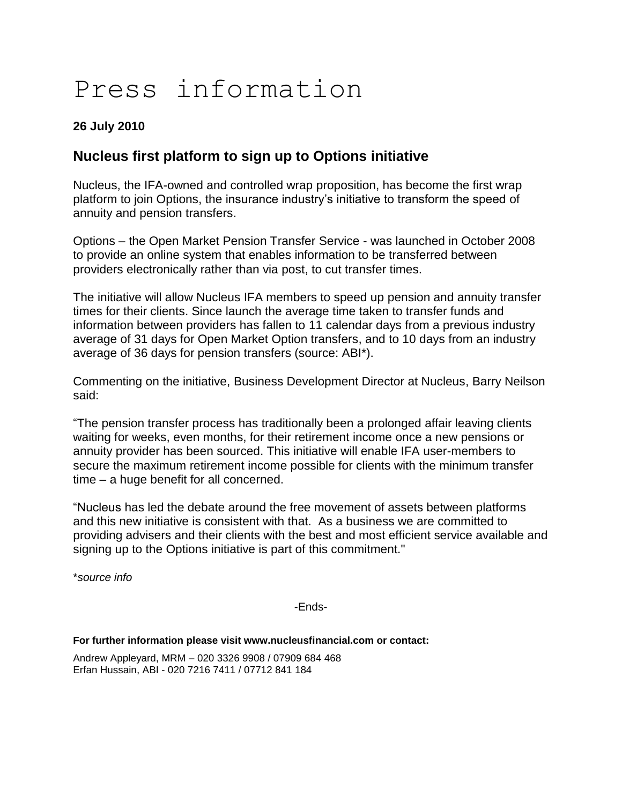# Press information

### **26 July 2010**

## **Nucleus first platform to sign up to Options initiative**

Nucleus, the IFA-owned and controlled wrap proposition, has become the first wrap platform to join Options, the insurance industry's initiative to transform the speed of annuity and pension transfers.

Options – the Open Market Pension Transfer Service - was launched in October 2008 to provide an online system that enables information to be transferred between providers electronically rather than via post, to cut transfer times.

The initiative will allow Nucleus IFA members to speed up pension and annuity transfer times for their clients. Since launch the average time taken to transfer funds and information between providers has fallen to 11 calendar days from a previous industry average of 31 days for Open Market Option transfers, and to 10 days from an industry average of 36 days for pension transfers (source: ABI\*).

Commenting on the initiative, Business Development Director at Nucleus, Barry Neilson said:

"The pension transfer process has traditionally been a prolonged affair leaving clients waiting for weeks, even months, for their retirement income once a new pensions or annuity provider has been sourced. This initiative will enable IFA user-members to secure the maximum retirement income possible for clients with the minimum transfer time – a huge benefit for all concerned.

"Nucleus has led the debate around the free movement of assets between platforms and this new initiative is consistent with that. As a business we are committed to providing advisers and their clients with the best and most efficient service available and signing up to the Options initiative is part of this commitment."

\**source info*

-Ends-

**For further information please visit www.nucleusfinancial.com or contact:**

Andrew Appleyard, MRM – 020 3326 9908 / 07909 684 468 Erfan Hussain, ABI - 020 7216 7411 / 07712 841 184